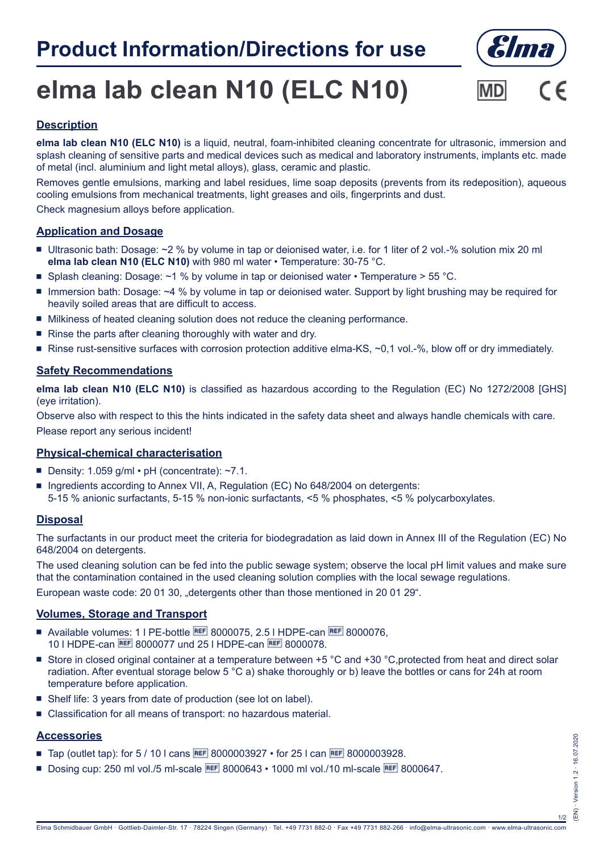

# **elma lab clean N10 (ELC N10)**



## **Description**

**elma lab clean N10 (ELC N10)** is a liquid, neutral, foam-inhibited cleaning concentrate for ultrasonic, immersion and splash cleaning of sensitive parts and medical devices such as medical and laboratory instruments, implants etc. made of metal (incl. aluminium and light metal alloys), glass, ceramic and plastic.

Removes gentle emulsions, marking and label residues, lime soap deposits (prevents from its redeposition), aqueous cooling emulsions from mechanical treatments, light greases and oils, fingerprints and dust.

Check magnesium alloys before application.

#### **Application and Dosage**

- Ultrasonic bath: Dosage: ~2 % by volume in tap or deionised water, i.e. for 1 liter of 2 vol.-% solution mix 20 ml **elma lab clean N10 (ELC N10)** with 980 ml water • Temperature: 30-75 °C.
- **Splash cleaning: Dosage: ~1 % by volume in tap or deionised water Temperature > 55 °C.**
- Immersion bath: Dosage: ~4 % by volume in tap or deionised water. Support by light brushing may be required for heavily soiled areas that are difficult to access.
- $\blacksquare$  Milkiness of heated cleaning solution does not reduce the cleaning performance.
- $\blacksquare$  Rinse the parts after cleaning thoroughly with water and dry.
- Rinse rust-sensitive surfaces with corrosion protection additive elma-KS,  $\sim$ 0,1 vol.-%, blow off or dry immediately.

#### **Safety Recommendations**

**elma lab clean N10 (ELC N10)** is classified as hazardous according to the Regulation (EC) No 1272/2008 [GHS] (eye irritation).

Observe also with respect to this the hints indicated in the safety data sheet and always handle chemicals with care. Please report any serious incident!

#### **Physical-chemical characterisation**

- Density: 1.059 g/ml pH (concentrate):  $~1.1$ .
- **Ingredients according to Annex VII, A, Regulation (EC) No 648/2004 on detergents:** 5-15 % anionic surfactants, 5-15 % non-ionic surfactants, <5 % phosphates, <5 % polycarboxylates.

#### **Disposal**

The surfactants in our product meet the criteria for biodegradation as laid down in Annex III of the Regulation (EC) No 648/2004 on detergents.

The used cleaning solution can be fed into the public sewage system; observe the local pH limit values and make sure that the contamination contained in the used cleaning solution complies with the local sewage regulations.

European waste code: 20 01 30, "detergents other than those mentioned in 20 01 29".

#### **Volumes, Storage and Transport**

- Available volumes: 1 | PE-bottle REF 8000075, 2.5 | HDPE-can REF 8000076. 10 l HDPE-can 8000077 und 25 l HDPE-can 8000078.
- Store in closed original container at a temperature between +5 °C and +30 °C,protected from heat and direct solar radiation. After eventual storage below 5 °C a) shake thoroughly or b) leave the bottles or cans for 24h at room temperature before application.
- Shelf life: 3 years from date of production (see lot on label).
- Classification for all means of transport: no hazardous material.

### **Accessories**

- **Tap (outlet tap): for 5 / 10 l cans REF 8000003927 for 25 l can REF 8000003928.**
- Dosing cup: 250 ml vol./5 ml-scale REF 8000643 1000 ml vol./10 ml-scale REF 8000647.

1/2